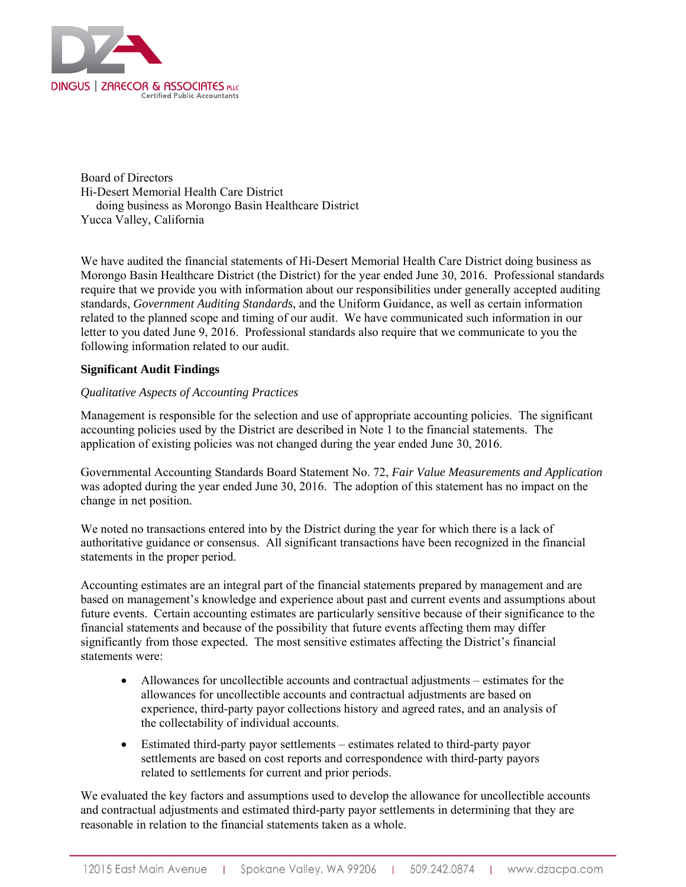

Board of Directors Hi-Desert Memorial Health Care District doing business as Morongo Basin Healthcare District Yucca Valley, California

We have audited the financial statements of Hi-Desert Memorial Health Care District doing business as Morongo Basin Healthcare District (the District) for the year ended June 30, 2016. Professional standards require that we provide you with information about our responsibilities under generally accepted auditing standards, *Government Auditing Standards*, and the Uniform Guidance, as well as certain information related to the planned scope and timing of our audit. We have communicated such information in our letter to you dated June 9, 2016. Professional standards also require that we communicate to you the following information related to our audit.

# **Significant Audit Findings**

## *Qualitative Aspects of Accounting Practices*

Management is responsible for the selection and use of appropriate accounting policies. The significant accounting policies used by the District are described in Note 1 to the financial statements. The application of existing policies was not changed during the year ended June 30, 2016.

Governmental Accounting Standards Board Statement No. 72, *Fair Value Measurements and Application*  was adopted during the year ended June 30, 2016. The adoption of this statement has no impact on the change in net position.

We noted no transactions entered into by the District during the year for which there is a lack of authoritative guidance or consensus. All significant transactions have been recognized in the financial statements in the proper period.

Accounting estimates are an integral part of the financial statements prepared by management and are based on management's knowledge and experience about past and current events and assumptions about future events. Certain accounting estimates are particularly sensitive because of their significance to the financial statements and because of the possibility that future events affecting them may differ significantly from those expected. The most sensitive estimates affecting the District's financial statements were:

- Allowances for uncollectible accounts and contractual adjustments estimates for the allowances for uncollectible accounts and contractual adjustments are based on experience, third-party payor collections history and agreed rates, and an analysis of the collectability of individual accounts.
- Estimated third-party payor settlements estimates related to third-party payor settlements are based on cost reports and correspondence with third-party payors related to settlements for current and prior periods.

We evaluated the key factors and assumptions used to develop the allowance for uncollectible accounts and contractual adjustments and estimated third-party payor settlements in determining that they are reasonable in relation to the financial statements taken as a whole.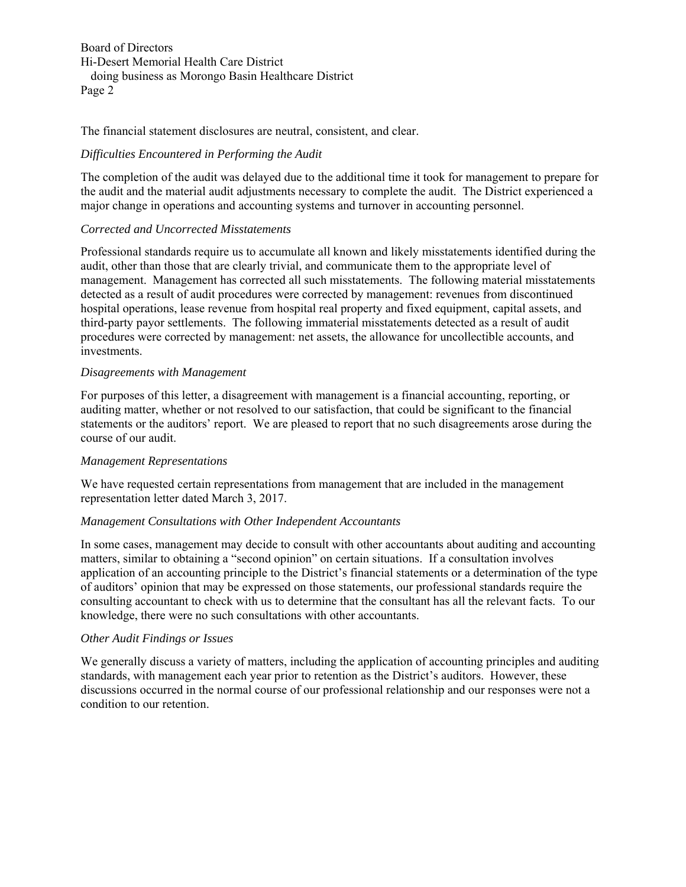Board of Directors Hi-Desert Memorial Health Care District doing business as Morongo Basin Healthcare District Page 2

The financial statement disclosures are neutral, consistent, and clear.

## *Difficulties Encountered in Performing the Audit*

The completion of the audit was delayed due to the additional time it took for management to prepare for the audit and the material audit adjustments necessary to complete the audit. The District experienced a major change in operations and accounting systems and turnover in accounting personnel.

## *Corrected and Uncorrected Misstatements*

Professional standards require us to accumulate all known and likely misstatements identified during the audit, other than those that are clearly trivial, and communicate them to the appropriate level of management. Management has corrected all such misstatements. The following material misstatements detected as a result of audit procedures were corrected by management: revenues from discontinued hospital operations, lease revenue from hospital real property and fixed equipment, capital assets, and third-party payor settlements. The following immaterial misstatements detected as a result of audit procedures were corrected by management: net assets, the allowance for uncollectible accounts, and investments.

## *Disagreements with Management*

For purposes of this letter, a disagreement with management is a financial accounting, reporting, or auditing matter, whether or not resolved to our satisfaction, that could be significant to the financial statements or the auditors' report. We are pleased to report that no such disagreements arose during the course of our audit.

#### *Management Representations*

We have requested certain representations from management that are included in the management representation letter dated March 3, 2017.

#### *Management Consultations with Other Independent Accountants*

In some cases, management may decide to consult with other accountants about auditing and accounting matters, similar to obtaining a "second opinion" on certain situations. If a consultation involves application of an accounting principle to the District's financial statements or a determination of the type of auditors' opinion that may be expressed on those statements, our professional standards require the consulting accountant to check with us to determine that the consultant has all the relevant facts. To our knowledge, there were no such consultations with other accountants.

#### *Other Audit Findings or Issues*

We generally discuss a variety of matters, including the application of accounting principles and auditing standards, with management each year prior to retention as the District's auditors. However, these discussions occurred in the normal course of our professional relationship and our responses were not a condition to our retention.